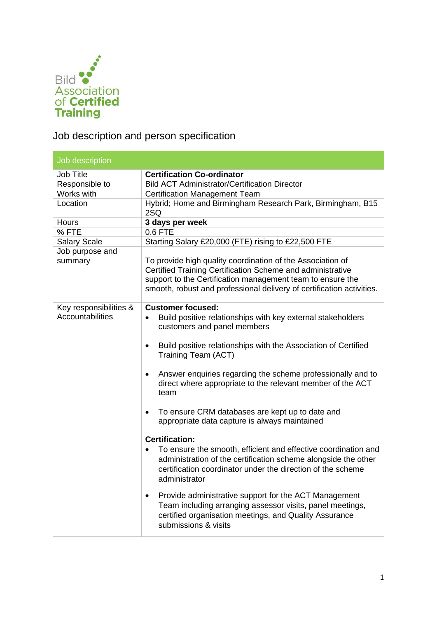

Job description and person specification

| Job description                            |                                                                                                                                                                                                                                                                                                                                                                                                                                                                                                                                                                                                                                                                                                                                                           |  |  |
|--------------------------------------------|-----------------------------------------------------------------------------------------------------------------------------------------------------------------------------------------------------------------------------------------------------------------------------------------------------------------------------------------------------------------------------------------------------------------------------------------------------------------------------------------------------------------------------------------------------------------------------------------------------------------------------------------------------------------------------------------------------------------------------------------------------------|--|--|
| Job Title                                  | <b>Certification Co-ordinator</b>                                                                                                                                                                                                                                                                                                                                                                                                                                                                                                                                                                                                                                                                                                                         |  |  |
| Responsible to                             | <b>Bild ACT Administrator/Certification Director</b>                                                                                                                                                                                                                                                                                                                                                                                                                                                                                                                                                                                                                                                                                                      |  |  |
| Works with                                 | <b>Certification Management Team</b>                                                                                                                                                                                                                                                                                                                                                                                                                                                                                                                                                                                                                                                                                                                      |  |  |
| Location                                   | Hybrid; Home and Birmingham Research Park, Birmingham, B15<br>2SQ                                                                                                                                                                                                                                                                                                                                                                                                                                                                                                                                                                                                                                                                                         |  |  |
| <b>Hours</b>                               | 3 days per week                                                                                                                                                                                                                                                                                                                                                                                                                                                                                                                                                                                                                                                                                                                                           |  |  |
| %FTE                                       | 0.6 FTE                                                                                                                                                                                                                                                                                                                                                                                                                                                                                                                                                                                                                                                                                                                                                   |  |  |
| <b>Salary Scale</b>                        | Starting Salary £20,000 (FTE) rising to £22,500 FTE                                                                                                                                                                                                                                                                                                                                                                                                                                                                                                                                                                                                                                                                                                       |  |  |
| Job purpose and<br>summary                 | To provide high quality coordination of the Association of<br>Certified Training Certification Scheme and administrative<br>support to the Certification management team to ensure the<br>smooth, robust and professional delivery of certification activities.                                                                                                                                                                                                                                                                                                                                                                                                                                                                                           |  |  |
| Key responsibilities &<br>Accountabilities | <b>Customer focused:</b><br>Build positive relationships with key external stakeholders<br>$\bullet$<br>customers and panel members<br>Build positive relationships with the Association of Certified<br>$\bullet$<br>Training Team (ACT)<br>Answer enquiries regarding the scheme professionally and to<br>$\bullet$<br>direct where appropriate to the relevant member of the ACT<br>team<br>To ensure CRM databases are kept up to date and<br>$\bullet$<br>appropriate data capture is always maintained<br><b>Certification:</b><br>To ensure the smooth, efficient and effective coordination and<br>administration of the certification scheme alongside the other<br>certification coordinator under the direction of the scheme<br>administrator |  |  |
|                                            | Provide administrative support for the ACT Management<br>$\bullet$<br>Team including arranging assessor visits, panel meetings,<br>certified organisation meetings, and Quality Assurance<br>submissions & visits                                                                                                                                                                                                                                                                                                                                                                                                                                                                                                                                         |  |  |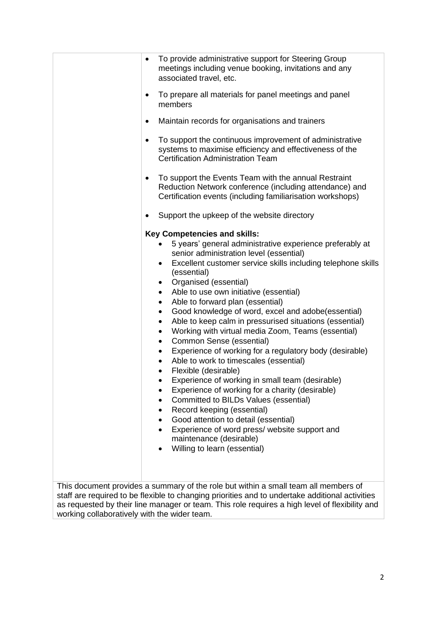|                                                                                                 | $\bullet$                                                             | To provide administrative support for Steering Group<br>meetings including venue booking, invitations and any<br>associated travel, etc.                                                                                                                                                                                                        |  |  |  |  |
|-------------------------------------------------------------------------------------------------|-----------------------------------------------------------------------|-------------------------------------------------------------------------------------------------------------------------------------------------------------------------------------------------------------------------------------------------------------------------------------------------------------------------------------------------|--|--|--|--|
|                                                                                                 | ٠                                                                     | To prepare all materials for panel meetings and panel<br>members                                                                                                                                                                                                                                                                                |  |  |  |  |
|                                                                                                 | ٠                                                                     | Maintain records for organisations and trainers                                                                                                                                                                                                                                                                                                 |  |  |  |  |
|                                                                                                 | ٠                                                                     | To support the continuous improvement of administrative<br>systems to maximise efficiency and effectiveness of the<br><b>Certification Administration Team</b><br>To support the Events Team with the annual Restraint<br>Reduction Network conference (including attendance) and<br>Certification events (including familiarisation workshops) |  |  |  |  |
|                                                                                                 | ٠                                                                     |                                                                                                                                                                                                                                                                                                                                                 |  |  |  |  |
|                                                                                                 | ٠                                                                     | Support the upkeep of the website directory                                                                                                                                                                                                                                                                                                     |  |  |  |  |
|                                                                                                 |                                                                       | <b>Key Competencies and skills:</b>                                                                                                                                                                                                                                                                                                             |  |  |  |  |
|                                                                                                 | 5 years' general administrative experience preferably at<br>$\bullet$ |                                                                                                                                                                                                                                                                                                                                                 |  |  |  |  |
|                                                                                                 |                                                                       | senior administration level (essential)                                                                                                                                                                                                                                                                                                         |  |  |  |  |
|                                                                                                 |                                                                       | Excellent customer service skills including telephone skills<br>$\bullet$                                                                                                                                                                                                                                                                       |  |  |  |  |
|                                                                                                 |                                                                       | (essential)<br>Organised (essential)<br>$\bullet$                                                                                                                                                                                                                                                                                               |  |  |  |  |
|                                                                                                 |                                                                       | Able to use own initiative (essential)<br>$\bullet$                                                                                                                                                                                                                                                                                             |  |  |  |  |
|                                                                                                 |                                                                       | Able to forward plan (essential)<br>$\bullet$                                                                                                                                                                                                                                                                                                   |  |  |  |  |
|                                                                                                 |                                                                       | Good knowledge of word, excel and adobe(essential)<br>$\bullet$                                                                                                                                                                                                                                                                                 |  |  |  |  |
|                                                                                                 |                                                                       | Able to keep calm in pressurised situations (essential)<br>$\bullet$                                                                                                                                                                                                                                                                            |  |  |  |  |
|                                                                                                 |                                                                       | Working with virtual media Zoom, Teams (essential)<br>$\bullet$                                                                                                                                                                                                                                                                                 |  |  |  |  |
|                                                                                                 |                                                                       | Common Sense (essential)<br>$\bullet$                                                                                                                                                                                                                                                                                                           |  |  |  |  |
|                                                                                                 |                                                                       | Experience of working for a regulatory body (desirable)<br>$\bullet$                                                                                                                                                                                                                                                                            |  |  |  |  |
|                                                                                                 |                                                                       | Able to work to timescales (essential)<br>$\bullet$                                                                                                                                                                                                                                                                                             |  |  |  |  |
|                                                                                                 |                                                                       | Flexible (desirable)<br>Experience of working in small team (desirable)                                                                                                                                                                                                                                                                         |  |  |  |  |
|                                                                                                 |                                                                       | Experience of working for a charity (desirable)                                                                                                                                                                                                                                                                                                 |  |  |  |  |
|                                                                                                 |                                                                       | Committed to BILDs Values (essential)<br>٠                                                                                                                                                                                                                                                                                                      |  |  |  |  |
|                                                                                                 |                                                                       | Record keeping (essential)<br>٠                                                                                                                                                                                                                                                                                                                 |  |  |  |  |
|                                                                                                 |                                                                       | Good attention to detail (essential)<br>$\bullet$                                                                                                                                                                                                                                                                                               |  |  |  |  |
|                                                                                                 |                                                                       | Experience of word press/ website support and<br>$\bullet$                                                                                                                                                                                                                                                                                      |  |  |  |  |
|                                                                                                 |                                                                       | maintenance (desirable)                                                                                                                                                                                                                                                                                                                         |  |  |  |  |
|                                                                                                 |                                                                       | Willing to learn (essential)<br>٠                                                                                                                                                                                                                                                                                                               |  |  |  |  |
|                                                                                                 |                                                                       |                                                                                                                                                                                                                                                                                                                                                 |  |  |  |  |
|                                                                                                 |                                                                       |                                                                                                                                                                                                                                                                                                                                                 |  |  |  |  |
|                                                                                                 |                                                                       | This document provides a summary of the role but within a small team all members of                                                                                                                                                                                                                                                             |  |  |  |  |
| staff are required to be flexible to changing priorities and to undertake additional activities |                                                                       |                                                                                                                                                                                                                                                                                                                                                 |  |  |  |  |
| as requested by their line manager or team. This role requires a high level of flexibility and  |                                                                       |                                                                                                                                                                                                                                                                                                                                                 |  |  |  |  |

working collaboratively with the wider team.